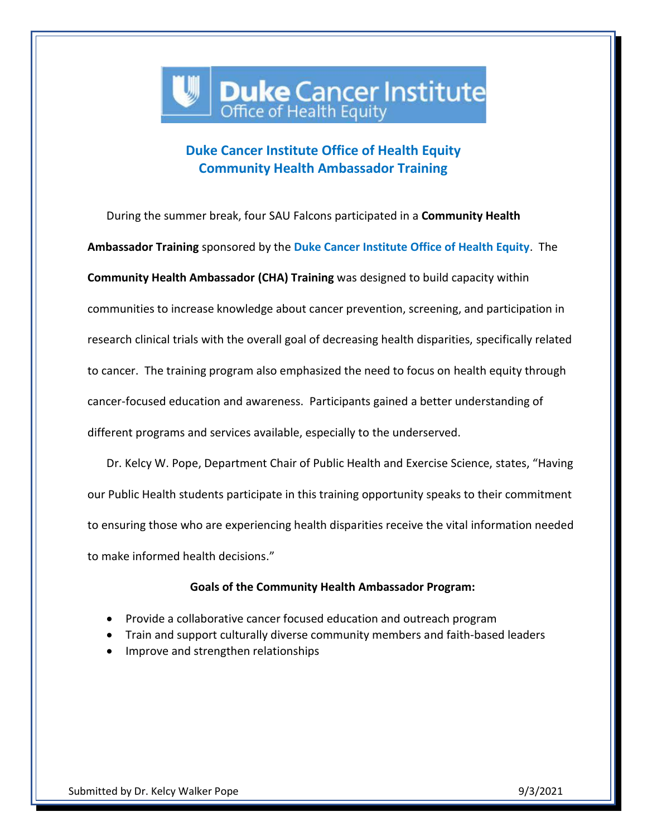## **Duke Cancer Institute**

## **Duke Cancer Institute Office of Health Equity Community Health Ambassador Training**

During the summer break, four SAU Falcons participated in a **Community Health Ambassador Training** sponsored by the **Duke Cancer Institute Office of Health Equity**. The **Community Health Ambassador (CHA) Training** was designed to build capacity within communities to increase knowledge about cancer prevention, screening, and participation in research clinical trials with the overall goal of decreasing health disparities, specifically related to cancer. The training program also emphasized the need to focus on health equity through cancer-focused education and awareness. Participants gained a better understanding of different programs and services available, especially to the underserved.

Dr. Kelcy W. Pope, Department Chair of Public Health and Exercise Science, states, "Having our Public Health students participate in this training opportunity speaks to their commitment to ensuring those who are experiencing health disparities receive the vital information needed to make informed health decisions."

## **Goals of the Community Health Ambassador Program:**

- Provide a collaborative cancer focused education and outreach program
- Train and support culturally diverse community members and faith-based leaders
- Improve and strengthen relationships